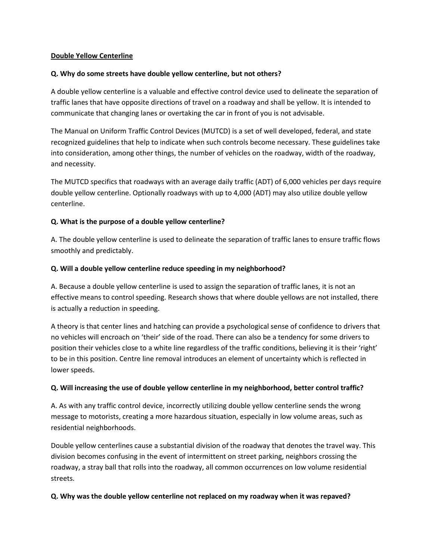#### **Double Yellow Centerline**

### **Q. Why do some streets have double yellow centerline, but not others?**

A double yellow centerline is a valuable and effective control device used to delineate the separation of traffic lanes that have opposite directions of travel on a roadway and shall be yellow. It is intended to communicate that changing lanes or overtaking the car in front of you is not advisable.

The Manual on Uniform Traffic Control Devices (MUTCD) is a set of well developed, federal, and state recognized guidelines that help to indicate when such controls become necessary. These guidelines take into consideration, among other things, the number of vehicles on the roadway, width of the roadway, and necessity.

The MUTCD specifics that roadways with an average daily traffic (ADT) of 6,000 vehicles per days require double yellow centerline. Optionally roadways with up to 4,000 (ADT) may also utilize double yellow centerline.

# **Q. What is the purpose of a double yellow centerline?**

A. The double yellow centerline is used to delineate the separation of traffic lanes to ensure traffic flows smoothly and predictably.

### **Q. Will a double yellow centerline reduce speeding in my neighborhood?**

A. Because a double yellow centerline is used to assign the separation of traffic lanes, it is not an effective means to control speeding. Research shows that where double yellows are not installed, there is actually a reduction in speeding.

A theory is that center lines and hatching can provide a psychological sense of confidence to drivers that no vehicles will encroach on 'their' side of the road. There can also be a tendency for some drivers to position their vehicles close to a white line regardless of the traffic conditions, believing it is their 'right' to be in this position. Centre line removal introduces an element of uncertainty which is reflected in lower speeds.

# **Q. Will increasing the use of double yellow centerline in my neighborhood, better control traffic?**

A. As with any traffic control device, incorrectly utilizing double yellow centerline sends the wrong message to motorists, creating a more hazardous situation, especially in low volume areas, such as residential neighborhoods.

Double yellow centerlines cause a substantial division of the roadway that denotes the travel way. This division becomes confusing in the event of intermittent on street parking, neighbors crossing the roadway, a stray ball that rolls into the roadway, all common occurrences on low volume residential streets.

#### **Q. Why was the double yellow centerline not replaced on my roadway when it was repaved?**